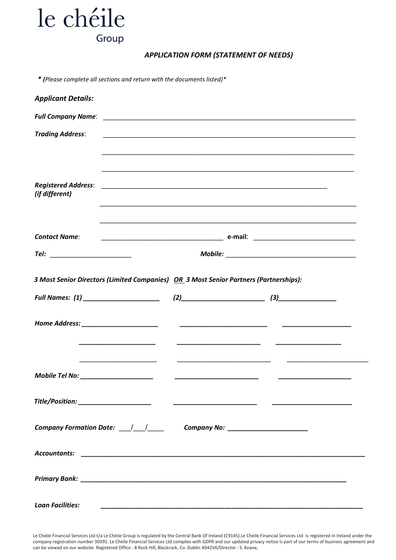| Group                                        |                                                                                                                                                                                                                                                                                                                                                                                                   |                                              |  |  |  |
|----------------------------------------------|---------------------------------------------------------------------------------------------------------------------------------------------------------------------------------------------------------------------------------------------------------------------------------------------------------------------------------------------------------------------------------------------------|----------------------------------------------|--|--|--|
|                                              |                                                                                                                                                                                                                                                                                                                                                                                                   | <b>APPLICATION FORM (STATEMENT OF NEEDS)</b> |  |  |  |
|                                              | * (Please complete all sections and return with the documents listed)*                                                                                                                                                                                                                                                                                                                            |                                              |  |  |  |
| <b>Applicant Details:</b>                    |                                                                                                                                                                                                                                                                                                                                                                                                   |                                              |  |  |  |
|                                              |                                                                                                                                                                                                                                                                                                                                                                                                   |                                              |  |  |  |
| <b>Trading Address:</b>                      |                                                                                                                                                                                                                                                                                                                                                                                                   |                                              |  |  |  |
|                                              |                                                                                                                                                                                                                                                                                                                                                                                                   |                                              |  |  |  |
|                                              |                                                                                                                                                                                                                                                                                                                                                                                                   |                                              |  |  |  |
| <b>Registered Address:</b><br>(if different) |                                                                                                                                                                                                                                                                                                                                                                                                   |                                              |  |  |  |
|                                              |                                                                                                                                                                                                                                                                                                                                                                                                   |                                              |  |  |  |
|                                              |                                                                                                                                                                                                                                                                                                                                                                                                   |                                              |  |  |  |
| <b>Contact Name:</b>                         |                                                                                                                                                                                                                                                                                                                                                                                                   |                                              |  |  |  |
|                                              |                                                                                                                                                                                                                                                                                                                                                                                                   |                                              |  |  |  |
|                                              | 3 Most Senior Directors (Limited Companies) OR 3 Most Senior Partners (Partnerships):                                                                                                                                                                                                                                                                                                             |                                              |  |  |  |
|                                              |                                                                                                                                                                                                                                                                                                                                                                                                   |                                              |  |  |  |
|                                              |                                                                                                                                                                                                                                                                                                                                                                                                   |                                              |  |  |  |
|                                              |                                                                                                                                                                                                                                                                                                                                                                                                   |                                              |  |  |  |
|                                              |                                                                                                                                                                                                                                                                                                                                                                                                   |                                              |  |  |  |
|                                              | <u> 1999 - Jan James James (f. 1989)</u>                                                                                                                                                                                                                                                                                                                                                          |                                              |  |  |  |
|                                              |                                                                                                                                                                                                                                                                                                                                                                                                   |                                              |  |  |  |
|                                              |                                                                                                                                                                                                                                                                                                                                                                                                   |                                              |  |  |  |
|                                              | Company Formation Date: $\frac{1}{\frac{1}{1-\frac{1}{1-\frac{1}{1-\frac{1}{1-\frac{1}{1-\frac{1}{1-\frac{1}{1-\frac{1}{1-\frac{1}{1-\frac{1}{1-\frac{1}{1-\frac{1}{1-\frac{1}{1-\frac{1}{1-\frac{1}{1-\frac{1}{1-\frac{1}{1-\frac{1}{1-\frac{1}{1-\frac{1}{1-\frac{1}{1-\frac{1}{1-\frac{1}{1-\frac{1}{1-\frac{1}{1-\frac{1}{1-\frac{1}{1-\frac{1}{1-\frac{1}{1-\frac{1}{1-\frac{1}{1-\frac{1}{$ |                                              |  |  |  |
|                                              |                                                                                                                                                                                                                                                                                                                                                                                                   |                                              |  |  |  |
|                                              |                                                                                                                                                                                                                                                                                                                                                                                                   |                                              |  |  |  |

| <b>Primary Bank:</b> |  |  |  |
|----------------------|--|--|--|
|                      |  |  |  |
|                      |  |  |  |

*Loan Facilities: \_\_\_\_\_\_\_\_\_\_\_\_\_\_\_\_\_\_\_\_\_\_\_\_\_\_\_\_\_\_\_\_\_\_\_\_\_\_\_\_\_\_\_\_\_\_\_\_\_\_\_\_\_\_\_\_\_\_\_\_\_\_\_\_\_\_\_\_\_\_\_\_*

Le Chéile Financial Services Ltd t/a Le Chéile Group is regulated by the Central Bank Of Ireland (C9145).Le Chéile Financial Services Ltd is registered in Ireland under the company registration number 30391. Le Chéile Financial Services Ltd complies with GDPR and our updated privacy notice is part of our terms of business agreement and can be viewed on our website. Registered Office : 8 Rock Hill, Blackrock, Co. Dublin A942V6/Director : S. Keane,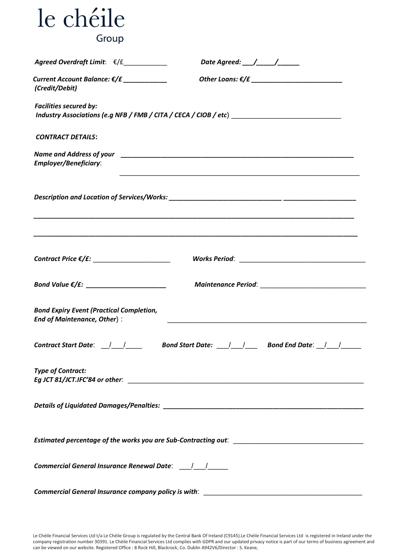## le chéile Group

| Agreed Overdraft Limit: $E/E$ __________                                              | Date Agreed: $\_\_\_\_\_\_\_\_\_\_\_\_\_\_\_\_\_\_\_\_\_$                                                             |
|---------------------------------------------------------------------------------------|-----------------------------------------------------------------------------------------------------------------------|
| Current Account Balance: €/£ __________<br>(Credit/Debit)                             |                                                                                                                       |
| <b>Facilities secured by:</b>                                                         | Industry Associations (e.g NFB / FMB / CITA / CECA / CIOB / etc) ___________________________________                  |
| <b>CONTRACT DETAILS:</b>                                                              |                                                                                                                       |
| <b>Employer/Beneficiary:</b>                                                          |                                                                                                                       |
|                                                                                       |                                                                                                                       |
|                                                                                       | <u> 1989 - Johann Harry Harry Harry Harry Harry Harry Harry Harry Harry Harry Harry Harry Harry Harry Harry Harry</u> |
|                                                                                       |                                                                                                                       |
|                                                                                       |                                                                                                                       |
| <b>Bond Expiry Event (Practical Completion,</b><br><b>End of Maintenance, Other):</b> | <u> 1989 - Johann Barn, mars an t-Amerikaansk politiker (* 1908)</u>                                                  |
| Contract Start Date: $\angle$                                                         |                                                                                                                       |
| <b>Type of Contract:</b>                                                              |                                                                                                                       |
|                                                                                       |                                                                                                                       |
|                                                                                       |                                                                                                                       |
| Commercial General Insurance Renewal Date: \rightarrow /                              |                                                                                                                       |
|                                                                                       |                                                                                                                       |

Le Chéile Financial Services Ltd t/a Le Chéile Group is regulated by the Central Bank Of Ireland (C9145).Le Chéile Financial Services Ltd is registered in Ireland under the company registration number 30391. Le Chéile Financial Services Ltd complies with GDPR and our updated privacy notice is part of our terms of business agreement and can be viewed on our website. Registered Office : 8 Rock Hill, Blackrock, Co. Dublin A942V6/Director : S. Keane,